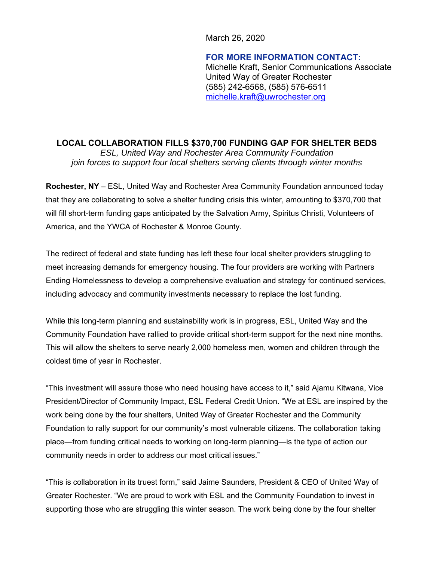March 26, 2020

**FOR MORE INFORMATION CONTACT:**  Michelle Kraft, Senior Communications Associate United Way of Greater Rochester (585) 242-6568, (585) 576-6511 michelle.kraft@uwrochester.org

**LOCAL COLLABORATION FILLS \$370,700 FUNDING GAP FOR SHELTER BEDS** *ESL, United Way and Rochester Area Community Foundation join forces to support four local shelters serving clients through winter months* 

**Rochester, NY** – ESL, United Way and Rochester Area Community Foundation announced today that they are collaborating to solve a shelter funding crisis this winter, amounting to \$370,700 that will fill short-term funding gaps anticipated by the Salvation Army, Spiritus Christi, Volunteers of America, and the YWCA of Rochester & Monroe County.

The redirect of federal and state funding has left these four local shelter providers struggling to meet increasing demands for emergency housing. The four providers are working with Partners Ending Homelessness to develop a comprehensive evaluation and strategy for continued services, including advocacy and community investments necessary to replace the lost funding.

While this long-term planning and sustainability work is in progress, ESL, United Way and the Community Foundation have rallied to provide critical short-term support for the next nine months. This will allow the shelters to serve nearly 2,000 homeless men, women and children through the coldest time of year in Rochester.

"This investment will assure those who need housing have access to it," said Ajamu Kitwana, Vice President/Director of Community Impact, ESL Federal Credit Union. "We at ESL are inspired by the work being done by the four shelters, United Way of Greater Rochester and the Community Foundation to rally support for our community's most vulnerable citizens. The collaboration taking place—from funding critical needs to working on long-term planning—is the type of action our community needs in order to address our most critical issues."

"This is collaboration in its truest form," said Jaime Saunders, President & CEO of United Way of Greater Rochester. "We are proud to work with ESL and the Community Foundation to invest in supporting those who are struggling this winter season. The work being done by the four shelter